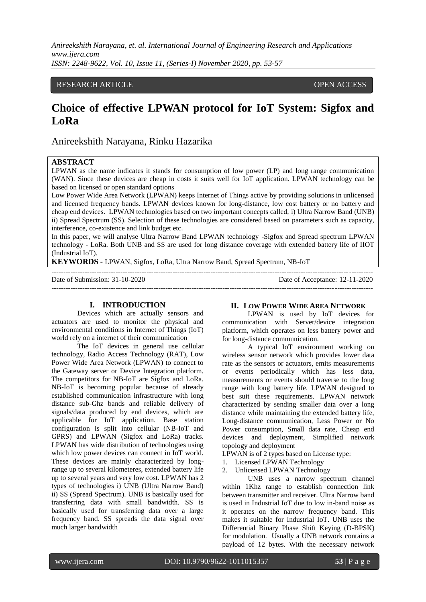## RESEARCH ARTICLE **CONSERVERS** OPEN ACCESS

# **Choice of effective LPWAN protocol for IoT System: Sigfox and LoRa**

Anireekshith Narayana, Rinku Hazarika

### **ABSTRACT**

LPWAN as the name indicates it stands for consumption of low power (LP) and long range communication (WAN). Since these devices are cheap in costs it suits well for IoT application. LPWAN technology can be based on licensed or open standard options

Low Power Wide Area Network (LPWAN) keeps Internet of Things active by providing solutions in unlicensed and licensed frequency bands. LPWAN devices known for long-distance, low cost battery or no battery and cheap end devices. LPWAN technologies based on two important concepts called, i) Ultra Narrow Band (UNB) ii) Spread Spectrum (SS). Selection of these technologies are considered based on parameters such as capacity, interference, co-existence and link budget etc.

In this paper, we will analyse Ultra Narrow Band LPWAN technology -Sigfox and Spread spectrum LPWAN technology - LoRa. Both UNB and SS are used for long distance coverage with extended battery life of IIOT (Industrial IoT).

---------------------------------------------------------------------------------------------------------------------------------------

---------------------------------------------------------------------------------------------------------------------------------------

**KEYWORDS -** LPWAN, Sigfox, LoRa, Ultra Narrow Band, Spread Spectrum, NB-IoT

Date of Submission: 31-10-2020 Date of Acceptance: 12-11-2020

#### **I. INTRODUCTION**

Devices which are actually sensors and actuators are used to monitor the physical and environmental conditions in Internet of Things (IoT) world rely on a internet of their communication

The IoT devices in general use cellular technology, Radio Access Technology (RAT), Low Power Wide Area Network (LPWAN) to connect to the Gateway server or Device Integration platform. The competitors for NB-IoT are Sigfox and LoRa. NB-IoT is becoming popular because of already established communication infrastructure with long distance sub-Ghz bands and reliable delivery of signals/data produced by end devices, which are applicable for IoT application. Base station configuration is split into cellular (NB-IoT and GPRS) and LPWAN (Sigfox and LoRa) tracks. LPWAN has wide distribution of technologies using which low power devices can connect in IoT world. These devices are mainly characterized by longrange up to several kilometeres, extended battery life up to several years and very low cost. LPWAN has 2 types of technologies i) UNB (Ultra Narrow Band) ii) SS (Spread Spectrum). UNB is basically used for transferring data with small bandwidth. SS is basically used for transferring data over a large frequency band. SS spreads the data signal over much larger bandwidth

#### **II. LOW POWER WIDE AREA NETWORK**

LPWAN is used by IoT devices for communication with Server/device integration platform, which operates on less battery power and for long-distance communication.

A typical IoT environment working on wireless sensor network which provides lower data rate as the sensors or actuators, emits measurements or events periodically which has less data, measurements or events should traverse to the long range with long battery life. LPWAN designed to best suit these requirements. LPWAN network characterized by sending smaller data over a long distance while maintaining the extended battery life, Long-distance communication, Less Power or No Power consumption, Small data rate, Cheap end devices and deployment, Simplified network topology and deployment

LPWAN is of 2 types based on License type:

- 1. Licensed LPWAN Technology
- 2. Unlicensed LPWAN Technology

UNB uses a narrow spectrum channel within 1Khz range to establish connection link between transmitter and receiver. Ultra Narrow band is used in Industrial IoT due to low in-band noise as it operates on the narrow frequency band. This makes it suitable for Industrial IoT. UNB uses the Differential Binary Phase Shift Keying (D-BPSK) for modulation. Usually a UNB network contains a payload of 12 bytes. With the necessary network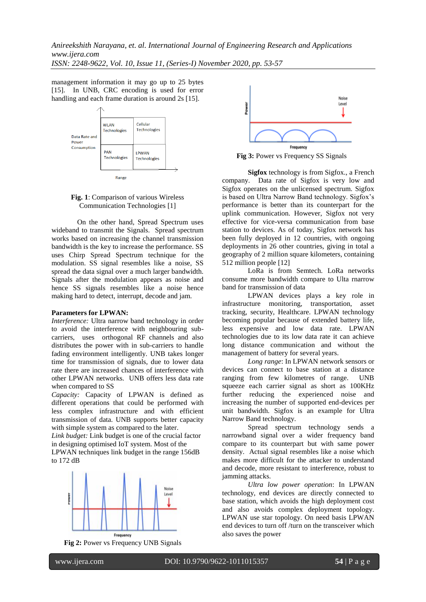*Anireekshith Narayana, et. al. International Journal of Engineering Research and Applications www.ijera.com*

*ISSN: 2248-9622, Vol. 10, Issue 11, (Series-I) November 2020, pp. 53-57*

management information it may go up to 25 bytes [15]. In UNB, CRC encoding is used for error handling and each frame duration is around 2s [15].





On the other hand, Spread Spectrum uses wideband to transmit the Signals. Spread spectrum works based on increasing the channel transmission bandwidth is the key to increase the performance. SS uses Chirp Spread Spectrum technique for the modulation. SS signal resembles like a noise, SS spread the data signal over a much larger bandwidth. Signals after the modulation appears as noise and hence SS signals resembles like a noise hence making hard to detect, interrupt, decode and jam.

#### **Parameters for LPWAN:**

*Interference:* Ultra narrow band technology in order to avoid the interference with neighbouring subcarriers, uses orthogonal RF channels and also distributes the power with in sub-carriers to handle fading environment intelligently. UNB takes longer time for transmission of signals, due to lower data rate there are increased chances of interference with other LPWAN networks. UNB offers less data rate when compared to SS

*Capacity:* Capacity of LPWAN is defined as different operations that could be performed with less complex infrastructure and with efficient transmission of data. UNB supports better capacity with simple system as compared to the later.

*Link budget:* Link budget is one of the crucial factor in designing optimised IoT system. Most of the LPWAN techniques link budget in the range 156dB to 172 dB

> Noise Level Frequency

**Fig 2:** Power vs Frequency UNB Signals



**Fig 3:** Power vs Frequency SS Signals

**Sigfox** technology is from Sigfox., a French company. Data rate of Sigfox is very low and Sigfox operates on the unlicensed spectrum. Sigfox is based on Ultra Narrow Band technology. Sigfox"s performance is better than its counterpart for the uplink communication. However, Sigfox not very effective for vice-versa communication from base station to devices. As of today, Sigfox network has been fully deployed in 12 countries, with ongoing deployments in 26 other countries, giving in total a geography of 2 million square kilometers, containing 512 million people [12]

LoRa is from Semtech. LoRa networks consume more bandwidth compare to Ulta rnarrow band for transmission of data

LPWAN devices plays a key role in infrastructure monitoring, transportation, asset tracking, security, Healthcare. LPWAN technology becoming popular because of extended battery life, less expensive and low data rate. LPWAN technologies due to its low data rate it can achieve long distance communication and without the management of battery for several years.

*Long range*: In LPWAN network sensors or devices can connect to base station at a distance ranging from few kilometres of range. UNB squeeze each carrier signal as short as 100KHz further reducing the experienced noise and increasing the number of supported end-devices per unit bandwidth. Sigfox is an example for Ultra Narrow Band technology.

Spread spectrum technology sends a narrowband signal over a wider frequency band compare to its counterpart but with same power density. Actual signal resembles like a noise which makes more difficult for the attacker to understand and decode, more resistant to interference, robust to jamming attacks.

*Ultra low power operation*: In LPWAN technology, end devices are directly connected to base station, which avoids the high deployment cost and also avoids complex deployment topology. LPWAN use star topology. On need basis LPWAN end devices to turn off /turn on the transceiver which also saves the power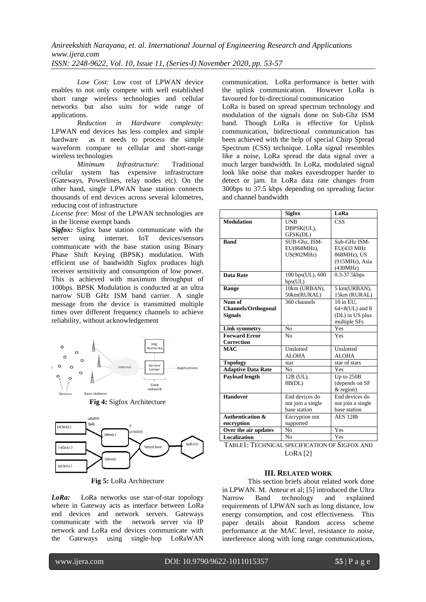*Low Cost:* Low cost of LPWAN device enables to not only compete with well established short range wireless technologies and cellular networks but also suits for wide range of applications.

*Reduction in Hardware complexity:* LPWAN end devices has less complex and simple hardware as it needs to process the simple waveform compare to cellular and short-range wireless technologies

*Minimum Infrastructure:* Traditional cellular system has expensive infrastructure (Gateways, Powerlines, relay nodes etc). On the other hand, single LPWAN base station connects thousands of end devices across several kilometres, reducing cost of infrastructure

*License free*: Most of the LPWAN technologies are in the license exempt bands

*Sigfox:* Sigfox base station communicate with the server using internet. IoT devices/sensors communicate with the base station using Binary Phase Shift Keying (BPSK) modulation. With efficient use of bandwidth Sigfox produces high receiver sensitivity and consumption of low power. This is achieved with maximum throughput of 100bps. BPSK Modulation is conducted at an ultra narrow SUB GHz ISM band carrier. A single message from the device is transmitted multiple times over different frequency channels to achieve reliability, without acknowledgement







**Fig 5:** LoRa Architecture

*LoRa:* LoRa networks use star-of-star topology where in Gateway acts as interface between LoRa end devices and network servers. Gateways communicate with the network server via IP network and LoRa end devices communicate with the Gateways using single-hop LoRaWAN communication. LoRa performance is better with<br>the uplink communication. However LoRa is the uplink communication. favoured for bi-directional communication

LoRa is based on spread spectrum technology and modulation of the signals done on Sub-Ghz ISM band. Though LoRa is effective for Uplink communication, bidirectional communication has been achieved with the help of special Chirp Spread Spectrum (CSS) technique. LoRa signal resembles like a noise, LoRa spread the data signal over a much larger bandwidth. In LoRa, modulated signal look like noise that makes eavesdropper harder to detect or jam. In LoRa data rate changes from 300bps to 37.5 kbps depending on spreading factor and channel bandwidth

|                                                        | <b>Sigfox</b>                                       | LoRa                                                                    |
|--------------------------------------------------------|-----------------------------------------------------|-------------------------------------------------------------------------|
| <b>Modulation</b>                                      | <b>UNB</b><br>DBPSK(UL),<br>GFSK(DL)                | $\overline{\text{CSS}}$                                                 |
| <b>Band</b>                                            | SUB-Ghz. ISM-<br>EU(868MHz),<br>US(902MHz)          | Sub-GHz ISM-<br>EU(433 MHz<br>868MHz), US<br>(915MHz), Asia<br>(430MHz) |
| <b>Data Rate</b>                                       | 100 bps(UL), 600<br>bps(UL)                         | $0.3 - 37.5$ kbps                                                       |
| Range                                                  | 10km (URBAN),<br>50km(RURAL)                        | 5 km(URBAN),<br>15km (RURAL)                                            |
| Num of<br><b>Channels/Orthogonal</b><br><b>Signals</b> | 360 channels                                        | 10 in EU.<br>$64+8$ (UL) and 8<br>(DL) in US plus<br>multiple SFs       |
| <b>Link symmetry</b>                                   | No                                                  | Yes                                                                     |
| <b>Forward Error</b><br><b>Correction</b>              | N <sub>0</sub>                                      | Yes                                                                     |
| <b>MAC</b>                                             | Unslotted<br><b>ALOHA</b>                           | Unslotted<br><b>ALOHA</b>                                               |
| <b>Topology</b>                                        | star                                                | star of stars                                                           |
| <b>Adaptive Data Rate</b>                              | N <sub>0</sub>                                      | Yes                                                                     |
| <b>Payload length</b>                                  | 12B (UL),<br>8B(DL)                                 | Up to 250B<br>(depends on SF<br>$&$ region)                             |
| <b>Handover</b>                                        | End devices do<br>not join a single<br>base station | End devices do<br>not join a single<br>base station                     |
| <b>Authentication &amp;</b><br>encryption              | Encryption not<br>supported                         | <b>AES 128b</b>                                                         |
| Over the air updates                                   | No                                                  | Yes                                                                     |
| <b>Localization</b>                                    | N <sub>0</sub>                                      | Yes                                                                     |

TABLE1: TECHNICAL SPECIFICATION OF SIGFOX AND LORA [2]

#### **III. RELATED WORK**

This section briefs about related work done in LPWAN. M. Anteur et al; [5] introduced the Ultra Narrow Band technology and explained requirements of LPWAN such as long distance, low energy consumption, and cost effectiveness. This paper details about Random access scheme performance at the MAC level, resistance to noise, interference along with long range communications,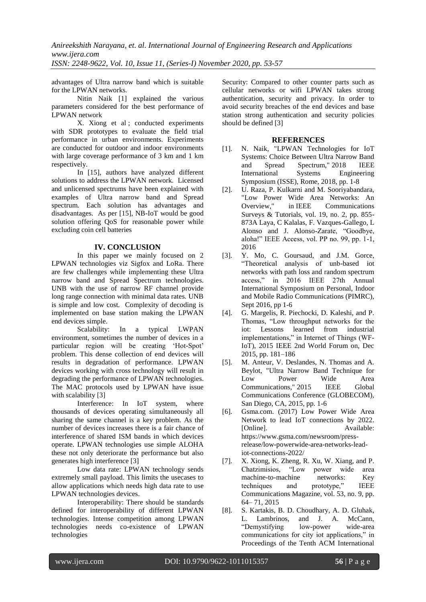advantages of Ultra narrow band which is suitable for the LPWAN networks.

Nitin Naik [1] explained the various parameters considered for the best performance of LPWAN network

X. Xiong et al ; conducted experiments with SDR prototypes to evaluate the field trial performance in urban environments. Experiments are conducted for outdoor and indoor environments with large coverage performance of 3 km and 1 km respectively.

In [15], authors have analyzed different solutions to address the LPWAN network. Licensed and unlicensed spectrums have been explained with examples of Ultra narrow band and Spread spectrum. Each solution has advantages and disadvantages. As per [15], NB-IoT would be good solution offering QoS for reasonable power while excluding coin cell batteries

## **IV. CONCLUSION**

In this paper we mainly focused on 2 LPWAN technologies viz Sigfox and LoRa. There are few challenges while implementing these Ultra narrow band and Spread Spectrum technologies. UNB with the use of narrow RF channel provide long range connection with minimal data rates. UNB is simple and low cost. Complexity of decoding is implemented on base station making the LPWAN end devices simple.

Scalability: In a typical LWPAN environment, sometimes the number of devices in a particular region will be creating "Hot-Spot" problem. This dense collection of end devices will results in degradation of performance. LPWAN devices working with cross technology will result in degrading the performance of LPWAN technologies. The MAC protocols used by LPWAN have issue with scalability [3]

Interference: In IoT system, where thousands of devices operating simultaneously all sharing the same channel is a key problem. As the number of devices increases there is a fair chance of interference of shared ISM bands in which devices operate. LPWAN technologies use simple ALOHA these not only deteriorate the performance but also generates high interference [3]

Low data rate: LPWAN technology sends extremely small payload. This limits the usecases to allow applications which needs high data rate to use LPWAN technologies devices.

Interoperability: There should be standards defined for interoperability of different LPWAN technologies. Intense competition among LPWAN technologies needs co-existence of LPWAN technologies

Security: Compared to other counter parts such as cellular networks or wifi LPWAN takes strong authentication, security and privacy. In order to avoid security breaches of the end devices and base station strong authentication and security policies should be defined [3]

#### **REFERENCES**

- [1]. N. Naik, "LPWAN Technologies for IoT Systems: Choice Between Ultra Narrow Band and Spread Spectrum," 2018 IEEE<br>International Systems Engineering International Systems Symposium (ISSE), Rome, 2018, pp. 1-8
- [2]. U. Raza, P. Kulkarni and M. Sooriyabandara, "Low Power Wide Area Networks: An Overview," in IEEE Communications Surveys & Tutorials, vol. 19, no. 2, pp. 855- 873A Laya, C Kalalas, F. Vazques-Gallego, L Alonso and J. Alonso-Zarate, "Goodbye, aloha!" IEEE Access, vol. PP no. 99, pp. 1-1, 2016
- [3]. Y. Mo, C. Goursaud, and J.M. Gorce, "Theoretical analysis of unb-based iot networks with path loss and random spectrum access," in 2016 IEEE 27th Annual International Symposium on Personal, Indoor and Mobile Radio Communications (PIMRC), Sept 2016, pp 1-6
- [4]. G. Margelis, R. Piechocki, D. Kaleshi, and P. Thomas, "Low throughput networks for the iot: Lessons learned from industrial implementations," in Internet of Things (WF-IoT), 2015 IEEE 2nd World Forum on, Dec 2015, pp. 181–186
- [5]. M. Anteur, V. Deslandes, N. Thomas and A. Beylot, "Ultra Narrow Band Technique for Low Power Wide Area Communications," 2015 IEEE Global Communications Conference (GLOBECOM), San Diego, CA, 2015, pp. 1-6
- [6]. Gsma.com. (2017) Low Power Wide Area Network to lead IoT connections by 2022. [Online]. Available: [https://www.gsma.com/newsroom/press](https://www.gsma.com/newsroom/press-release/low-powerwide-area-networks-lead-iot-connections-2022/)[release/low-powerwide-area-networks-lead](https://www.gsma.com/newsroom/press-release/low-powerwide-area-networks-lead-iot-connections-2022/)[iot-connections-2022/](https://www.gsma.com/newsroom/press-release/low-powerwide-area-networks-lead-iot-connections-2022/)
- [7]. X. Xiong, K. Zheng, R. Xu, W. Xiang, and P. Chatzimisios, "Low power wide area machine-to-machine networks: Key techniques and prototype," IEEE Communications Magazine, vol. 53, no. 9, pp. 64– 71, 2015
- [8]. S. Kartakis, B. D. Choudhary, A. D. Gluhak, L. Lambrinos, and J. A. McCann, "Demystifying low-power wide-area communications for city iot applications," in Proceedings of the Tenth ACM International